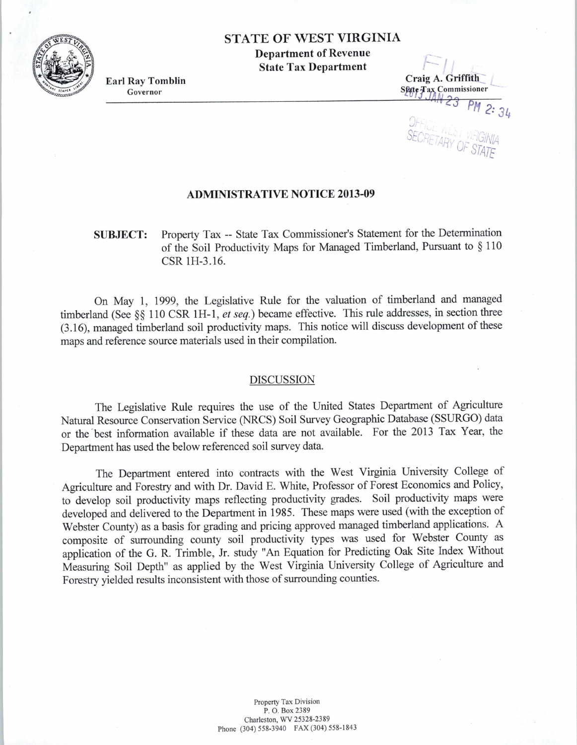### STATE OF WEST VIRGINIA

Department of Revenue State Tax Department

Earl Ray Tomblin Governor

r-  $\leftarrow$  / Craig A. Griffith Sfate *Tax* Commissioner  $M \geq 3$  PM 2:  $34$ J SEODET : ','-01 VIRGIAN **ULCHETARY OF HUINIA** - *ARY OF STATE* 

#### ADMINISTRATIVE NOTICE 2013-09

## SUBJECT: Property Tax -- State Tax Commissioner's Statement for the Determination of the Soil Productivity Maps for Managed Timberland, Pursuant to § 110 CSR lH-3.16.

On May 1, 1999, the Legislative Rule for the valuation of timberland and managed timberland (See§§ 110 CSR lH-1, *et seq.)* became effective. This rule addresses, in section three (3 .16), managed timberland soil productivity maps. This notice will discuss development of these maps and reference source materials used in their compilation.

#### DISCUSSION

The Legislative Rule requires the use of the United States Department of Agriculture Natural Resource Conservation Service (NRCS) Soil Survey Geographic Database (SSURGO) data or the best information available if these data are not available. For the 2013 Tax Year, the Department has used the below referenced soil survey data.

The Department entered into contracts with the West Virginia University College of Agriculture and Forestry and with Dr. David E. White, Professor of Forest Economics and Policy, to develop soil productivity maps reflecting productivity grades. Soil productivity maps were developed and delivered to the Department in 1985. These maps were used (with the exception of Webster County) as a basis for grading and pricing approved managed timberland applications. A composite of surrounding county soil productivity types was used for Webster County as application of the G. R. Trimble, Jr. study "An Equation for Predicting Oak Site Index Without Measuring Soil Depth" as applied by the West Virginia University College of Agriculture and Forestry yielded results inconsistent with those of surrounding counties.